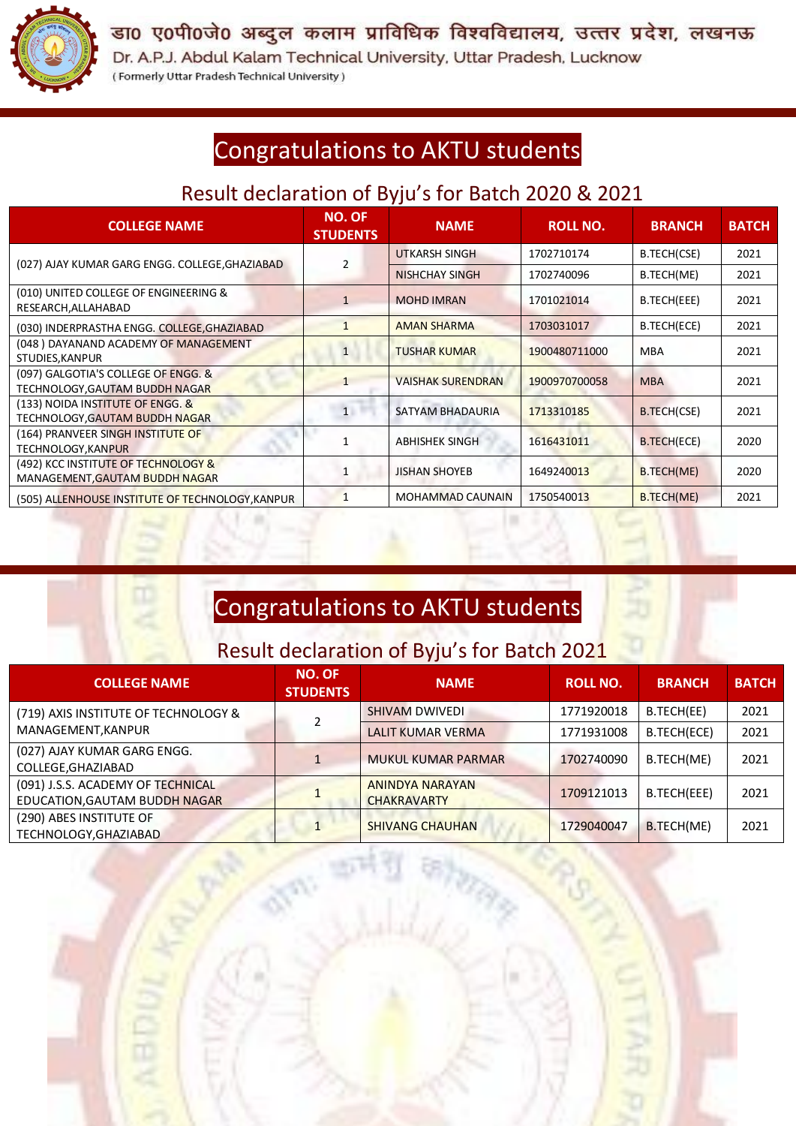

डा0 ए0पी0जे0 अब्दुल कलाम प्राविधिक विश्वविद्यालय, उत्तर प्रदेश, लखनऊ

Dr. A.P.J. Abdul Kalam Technical University, Uttar Pradesh, Lucknow (Formerly Uttar Pradesh Technical University)

## Congratulations to AKTU students

### Result declaration of Byju's for Batch 2020 & 2021

| <b>COLLEGE NAME</b>                                                   | <b>NO. OF</b><br><b>STUDENTS</b> | <b>NAME</b>              | <b>ROLL NO.</b> | <b>BRANCH</b>      | <b>BATCH</b> |
|-----------------------------------------------------------------------|----------------------------------|--------------------------|-----------------|--------------------|--------------|
| (027) AJAY KUMAR GARG ENGG. COLLEGE, GHAZIABAD                        |                                  | UTKARSH SINGH            | 1702710174      | B.TECH(CSE)        | 2021         |
|                                                                       |                                  | <b>NISHCHAY SINGH</b>    | 1702740096      | B.TECH(ME)         | 2021         |
| (010) UNITED COLLEGE OF ENGINEERING &<br>RESEARCH, ALLAHABAD          | $\mathbf{1}$                     | <b>MOHD IMRAN</b>        | 1701021014      | B.TECH(EEE)        | 2021         |
| (030) INDERPRASTHA ENGG. COLLEGE, GHAZIABAD                           |                                  | <b>AMAN SHARMA</b>       | 1703031017      | B.TECH(ECE)        | 2021         |
| (048) DAYANAND ACADEMY OF MANAGEMENT<br>STUDIES, KANPUR               | $\overline{1}$                   | <b>TUSHAR KUMAR</b>      | 1900480711000   | <b>MBA</b>         | 2021         |
| (097) GALGOTIA'S COLLEGE OF ENGG. &<br>TECHNOLOGY,GAUTAM BUDDH NAGAR  |                                  | <b>VAISHAK SURENDRAN</b> | 1900970700058   | <b>MBA</b>         | 2021         |
| (133) NOIDA INSTITUTE OF ENGG. &<br>TECHNOLOGY,GAUTAM BUDDH NAGAR     | $\mathbf{1}$                     | SATYAM BHADAURIA         | 1713310185      | <b>B.TECH(CSE)</b> | 2021         |
| (164) PRANVEER SINGH INSTITUTE OF<br>TECHNOLOGY,KANPUR                |                                  | <b>ABHISHEK SINGH</b>    | 1616431011      | <b>B.TECH(ECE)</b> | 2020         |
| (492) KCC INSTITUTE OF TECHNOLOGY &<br>MANAGEMENT, GAUTAM BUDDH NAGAR |                                  | <b>JISHAN SHOYEB</b>     | 1649240013      | B.TECH(ME)         | 2020         |
| (505) ALLENHOUSE INSTITUTE OF TECHNOLOGY, KANPUR                      |                                  | <b>MOHAMMAD CAUNAIN</b>  | 1750540013      | B.TECH(ME)         | 2021         |

### Congratulations to AKTU students

#### Result declaration of Byju's for Batch 2021

| <b>COLLEGE NAME</b>                                                | <b>NO. OF</b><br><b>NAME</b><br><b>STUDENTS</b> |                                              | <b>ROLL NO.</b> | <b>BRANCH</b> | <b>BATCH</b> |
|--------------------------------------------------------------------|-------------------------------------------------|----------------------------------------------|-----------------|---------------|--------------|
| (719) AXIS INSTITUTE OF TECHNOLOGY &<br>MANAGEMENT, KANPUR         |                                                 | <b>SHIVAM DWIVEDI</b>                        | 1771920018      | B.TECH(EE)    | 2021         |
|                                                                    |                                                 | <b>LALIT KUMAR VERMA</b>                     | 1771931008      | B.TECH(ECE)   | 2021         |
| (027) AJAY KUMAR GARG ENGG.<br>COLLEGE, GHAZIABAD                  |                                                 | <b>MUKUL KUMAR PARMAR</b>                    | 1702740090      | B.TECH(ME)    | 2021         |
| (091) J.S.S. ACADEMY OF TECHNICAL<br>EDUCATION, GAUTAM BUDDH NAGAR |                                                 | <b>ANINDYA NARAYAN</b><br><b>CHAKRAVARTY</b> | 1709121013      | B.TECH(EEE)   | 2021         |
| (290) ABES INSTITUTE OF<br>TECHNOLOGY, GHAZIABAD                   |                                                 | <b>SHIVANG CHAUHAN</b>                       | 1729040047      | B.TECH(ME)    | 2021         |